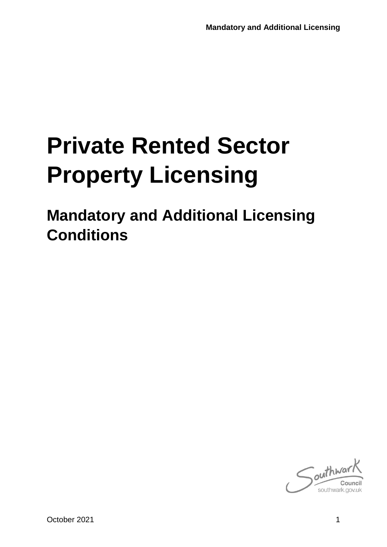# **Private Rented Sector Property Licensing**

**Mandatory and Additional Licensing Conditions**

 $\int$ outhway southwark.go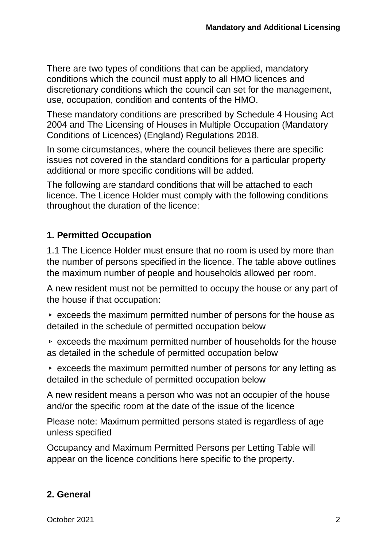There are two types of conditions that can be applied, mandatory conditions which the council must apply to all HMO licences and discretionary conditions which the council can set for the management, use, occupation, condition and contents of the HMO.

These mandatory conditions are prescribed by Schedule 4 Housing Act 2004 and The Licensing of Houses in Multiple Occupation (Mandatory Conditions of Licences) (England) Regulations 2018.

In some circumstances, where the council believes there are specific issues not covered in the standard conditions for a particular property additional or more specific conditions will be added.

The following are standard conditions that will be attached to each licence. The Licence Holder must comply with the following conditions throughout the duration of the licence:

## **1. Permitted Occupation**

1.1 The Licence Holder must ensure that no room is used by more than the number of persons specified in the licence. The table above outlines the maximum number of people and households allowed per room.

A new resident must not be permitted to occupy the house or any part of the house if that occupation:

▹ exceeds the maximum permitted number of persons for the house as detailed in the schedule of permitted occupation below

▹ exceeds the maximum permitted number of households for the house as detailed in the schedule of permitted occupation below

▹ exceeds the maximum permitted number of persons for any letting as detailed in the schedule of permitted occupation below

A new resident means a person who was not an occupier of the house and/or the specific room at the date of the issue of the licence

Please note: Maximum permitted persons stated is regardless of age unless specified

Occupancy and Maximum Permitted Persons per Letting Table will appear on the licence conditions here specific to the property.

# **2. General**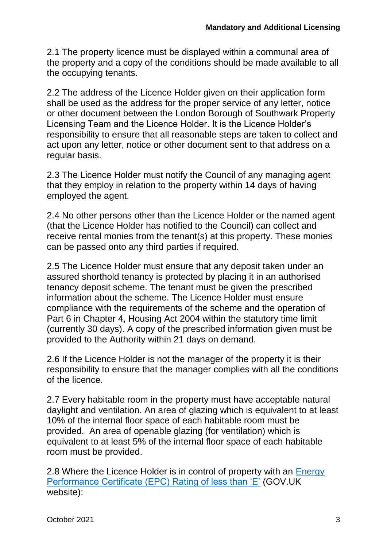2.1 The property licence must be displayed within a communal area of the property and a copy of the conditions should be made available to all the occupying tenants.

2.2 The address of the Licence Holder given on their application form shall be used as the address for the proper service of any letter, notice or other document between the London Borough of Southwark Property Licensing Team and the Licence Holder. It is the Licence Holder's responsibility to ensure that all reasonable steps are taken to collect and act upon any letter, notice or other document sent to that address on a regular basis.

2.3 The Licence Holder must notify the Council of any managing agent that they employ in relation to the property within 14 days of having employed the agent.

2.4 No other persons other than the Licence Holder or the named agent (that the Licence Holder has notified to the Council) can collect and receive rental monies from the tenant(s) at this property. These monies can be passed onto any third parties if required.

2.5 The Licence Holder must ensure that any deposit taken under an assured shorthold tenancy is protected by placing it in an authorised tenancy deposit scheme. The tenant must be given the prescribed information about the scheme. The Licence Holder must ensure compliance with the requirements of the scheme and the operation of Part 6 in Chapter 4, Housing Act 2004 within the statutory time limit (currently 30 days). A copy of the prescribed information given must be provided to the Authority within 21 days on demand.

2.6 If the Licence Holder is not the manager of the property it is their responsibility to ensure that the manager complies with all the conditions of the licence.

2.7 Every habitable room in the property must have acceptable natural daylight and ventilation. An area of glazing which is equivalent to at least 10% of the internal floor space of each habitable room must be provided. An area of openable glazing (for ventilation) which is equivalent to at least 5% of the internal floor space of each habitable room must be provided.

2.8 Where the Licence Holder is in control of property with an Energy [Performance Certificate \(EPC\) Rating of less than 'E'](https://www.gov.uk/guidance/domestic-private-rented-property-minimum-energy-efficiency-standard-landlord-guidance) (GOV.UK website):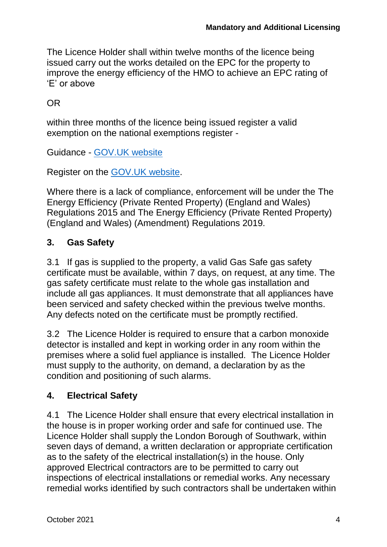The Licence Holder shall within twelve months of the licence being issued carry out the works detailed on the EPC for the property to improve the energy efficiency of the HMO to achieve an EPC rating of 'E' or above

## OR

within three months of the licence being issued register a valid exemption on the national exemptions register -

Guidance - [GOV.UK website](https://www.gov.uk/government/publications/private-rented-sector-minimum-energy-efficiency-standard-exemptions)

Register on the [GOV.UK website.](https://prsregister.beis.gov.uk/NdsBeisUi/used-service-before)

Where there is a lack of compliance, enforcement will be under the The Energy Efficiency (Private Rented Property) (England and Wales) Regulations 2015 and The Energy Efficiency (Private Rented Property) (England and Wales) (Amendment) Regulations 2019.

# **3. Gas Safety**

3.1 If gas is supplied to the property, a valid Gas Safe gas safety certificate must be available, within 7 days, on request, at any time. The gas safety certificate must relate to the whole gas installation and include all gas appliances. It must demonstrate that all appliances have been serviced and safety checked within the previous twelve months. Any defects noted on the certificate must be promptly rectified.

3.2 The Licence Holder is required to ensure that a carbon monoxide detector is installed and kept in working order in any room within the premises where a solid fuel appliance is installed. The Licence Holder must supply to the authority, on demand, a declaration by as the condition and positioning of such alarms.

## **4. Electrical Safety**

4.1 The Licence Holder shall ensure that every electrical installation in the house is in proper working order and safe for continued use. The Licence Holder shall supply the London Borough of Southwark, within seven days of demand, a written declaration or appropriate certification as to the safety of the electrical installation(s) in the house. Only approved Electrical contractors are to be permitted to carry out inspections of electrical installations or remedial works. Any necessary remedial works identified by such contractors shall be undertaken within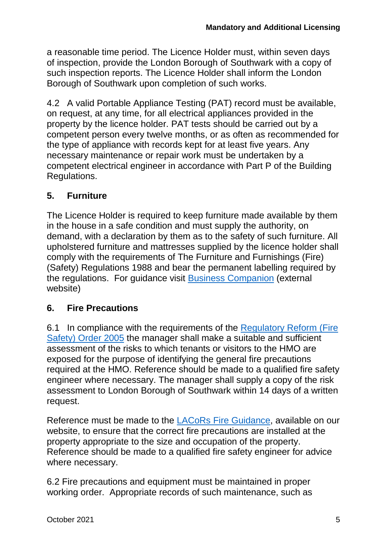a reasonable time period. The Licence Holder must, within seven days of inspection, provide the London Borough of Southwark with a copy of such inspection reports. The Licence Holder shall inform the London Borough of Southwark upon completion of such works.

4.2 A valid Portable Appliance Testing (PAT) record must be available, on request, at any time, for all electrical appliances provided in the property by the licence holder. PAT tests should be carried out by a competent person every twelve months, or as often as recommended for the type of appliance with records kept for at least five years. Any necessary maintenance or repair work must be undertaken by a competent electrical engineer in accordance with Part P of the Building Regulations.

## **5. Furniture**

The Licence Holder is required to keep furniture made available by them in the house in a safe condition and must supply the authority, on demand, with a declaration by them as to the safety of such furniture. All upholstered furniture and mattresses supplied by the licence holder shall comply with the requirements of The Furniture and Furnishings (Fire) (Safety) Regulations 1988 and bear the permanent labelling required by the regulations. For guidance visit [Business Companion](http://www.businesscompanion.info/en/quick-guides/product-safety/goods-in-rented-accommodation) (external website)

## **6. Fire Precautions**

6.1 In compliance with the requirements of the [Regulatory Reform \(Fire](https://www.southwark.gov.uk/home-owners-services/private-home-owners-and-landlords/private-rented-property-licensing?chapter=7)  [Safety\) Order 2005](https://www.southwark.gov.uk/home-owners-services/private-home-owners-and-landlords/private-rented-property-licensing?chapter=7) the manager shall make a suitable and sufficient assessment of the risks to which tenants or visitors to the HMO are exposed for the purpose of identifying the general fire precautions required at the HMO. Reference should be made to a qualified fire safety engineer where necessary. The manager shall supply a copy of the risk assessment to London Borough of Southwark within 14 days of a written request.

Reference must be made to the [LACoRs Fire Guidance,](https://www.southwark.gov.uk/assets/attach/2940/LACORS-Fire-Safety-guide-April-2009-.pdf) available on our website, to ensure that the correct fire precautions are installed at the property appropriate to the size and occupation of the property. Reference should be made to a qualified fire safety engineer for advice where necessary.

6.2 Fire precautions and equipment must be maintained in proper working order. Appropriate records of such maintenance, such as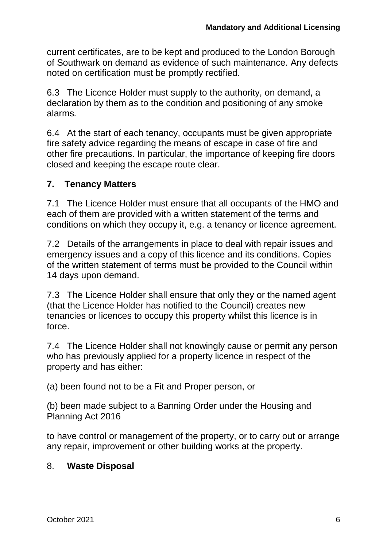current certificates, are to be kept and produced to the London Borough of Southwark on demand as evidence of such maintenance. Any defects noted on certification must be promptly rectified.

6.3 The Licence Holder must supply to the authority, on demand, a declaration by them as to the condition and positioning of any smoke alarms*.*

6.4 At the start of each tenancy, occupants must be given appropriate fire safety advice regarding the means of escape in case of fire and other fire precautions. In particular, the importance of keeping fire doors closed and keeping the escape route clear.

#### **7. Tenancy Matters**

7.1 The Licence Holder must ensure that all occupants of the HMO and each of them are provided with a written statement of the terms and conditions on which they occupy it, e.g. a tenancy or licence agreement.

7.2 Details of the arrangements in place to deal with repair issues and emergency issues and a copy of this licence and its conditions. Copies of the written statement of terms must be provided to the Council within 14 days upon demand.

7.3 The Licence Holder shall ensure that only they or the named agent (that the Licence Holder has notified to the Council) creates new tenancies or licences to occupy this property whilst this licence is in force.

7.4 The Licence Holder shall not knowingly cause or permit any person who has previously applied for a property licence in respect of the property and has either:

(a) been found not to be a Fit and Proper person, or

(b) been made subject to a Banning Order under the Housing and Planning Act 2016

to have control or management of the property, or to carry out or arrange any repair, improvement or other building works at the property.

#### 8. **Waste Disposal**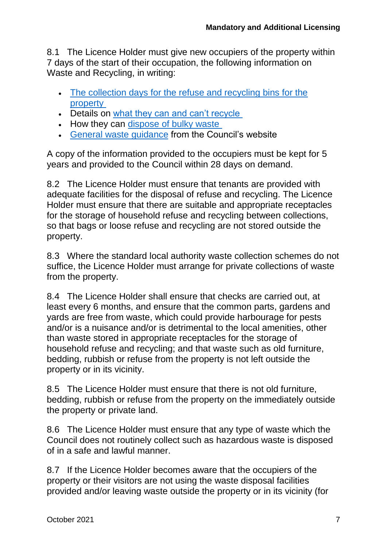8.1 The Licence Holder must give new occupiers of the property within 7 days of the start of their occupation, the following information on Waste and Recycling, in writing:

- The collection days for the refuse and recycling bins for the [property](https://www.southwark.gov.uk/bins/lookup)
- Details on [what they can and can't recycle](https://www.southwark.gov.uk/bins-and-recycling/recycling/what-goes-in-recycling)
- How they can [dispose of bulky waste](https://www.southwark.gov.uk/bins-and-recycling/bulky-waste-collections)
- [General waste guidance](https://www.southwark.gov.uk/bins-and-recycling/) from the Council's website

A copy of the information provided to the occupiers must be kept for 5 years and provided to the Council within 28 days on demand.

8.2 The Licence Holder must ensure that tenants are provided with adequate facilities for the disposal of refuse and recycling. The Licence Holder must ensure that there are suitable and appropriate receptacles for the storage of household refuse and recycling between collections, so that bags or loose refuse and recycling are not stored outside the property.

8.3 Where the standard local authority waste collection schemes do not suffice, the Licence Holder must arrange for private collections of waste from the property.

8.4 The Licence Holder shall ensure that checks are carried out, at least every 6 months, and ensure that the common parts, gardens and yards are free from waste, which could provide harbourage for pests and/or is a nuisance and/or is detrimental to the local amenities, other than waste stored in appropriate receptacles for the storage of household refuse and recycling; and that waste such as old furniture, bedding, rubbish or refuse from the property is not left outside the property or in its vicinity.

8.5 The Licence Holder must ensure that there is not old furniture, bedding, rubbish or refuse from the property on the immediately outside the property or private land.

8.6 The Licence Holder must ensure that any type of waste which the Council does not routinely collect such as hazardous waste is disposed of in a safe and lawful manner.

8.7 If the Licence Holder becomes aware that the occupiers of the property or their visitors are not using the waste disposal facilities provided and/or leaving waste outside the property or in its vicinity (for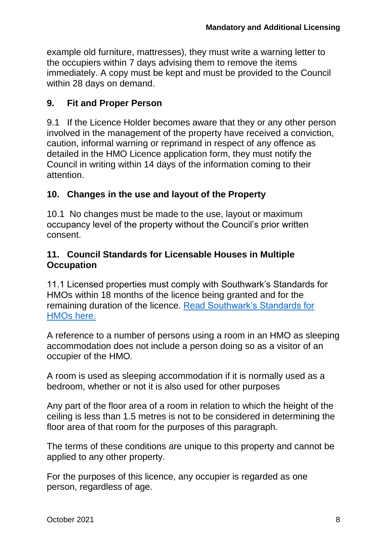example old furniture, mattresses), they must write a warning letter to the occupiers within 7 days advising them to remove the items immediately. A copy must be kept and must be provided to the Council within 28 days on demand.

#### **9. Fit and Proper Person**

9.1 If the Licence Holder becomes aware that they or any other person involved in the management of the property have received a conviction, caution, informal warning or reprimand in respect of any offence as detailed in the HMO Licence application form, they must notify the Council in writing within 14 days of the information coming to their attention.

#### **10. Changes in the use and layout of the Property**

10.1 No changes must be made to the use, layout or maximum occupancy level of the property without the Council's prior written consent.

#### **11. Council Standards for Licensable Houses in Multiple Occupation**

11.1 Licensed properties must comply with Southwark's Standards for HMOs within 18 months of the licence being granted and for the remaining duration of the licence. [Read Southwark's Standards for](https://www.southwark.gov.uk/home-owners-services/private-home-owners-and-landlords/private-rented-property-licensing?chapter=7)  [HMOs here.](https://www.southwark.gov.uk/home-owners-services/private-home-owners-and-landlords/private-rented-property-licensing?chapter=7)

A reference to a number of persons using a room in an HMO as sleeping accommodation does not include a person doing so as a visitor of an occupier of the HMO*.*

A room is used as sleeping accommodation if it is normally used as a bedroom, whether or not it is also used for other purposes

Any part of the floor area of a room in relation to which the height of the ceiling is less than 1.5 metres is not to be considered in determining the floor area of that room for the purposes of this paragraph*.*

The terms of these conditions are unique to this property and cannot be applied to any other property.

For the purposes of this licence, any occupier is regarded as one person, regardless of age.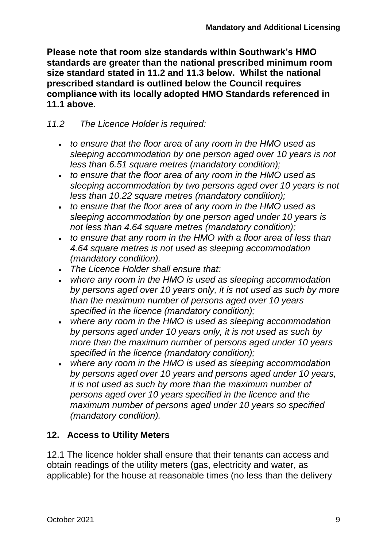**Please note that room size standards within Southwark's HMO standards are greater than the national prescribed minimum room size standard stated in 11.2 and 11.3 below. Whilst the national prescribed standard is outlined below the Council requires compliance with its locally adopted HMO Standards referenced in 11.1 above.**

## *11.2 The Licence Holder is required:*

- *to ensure that the floor area of any room in the HMO used as sleeping accommodation by one person aged over 10 years is not less than 6.51 square metres (mandatory condition);*
- *to ensure that the floor area of any room in the HMO used as sleeping accommodation by two persons aged over 10 years is not less than 10.22 square metres (mandatory condition);*
- *to ensure that the floor area of any room in the HMO used as sleeping accommodation by one person aged under 10 years is not less than 4.64 square metres (mandatory condition);*
- *to ensure that any room in the HMO with a floor area of less than 4.64 square metres is not used as sleeping accommodation (mandatory condition).*
- *The Licence Holder shall ensure that:*
- *where any room in the HMO is used as sleeping accommodation by persons aged over 10 years only, it is not used as such by more than the maximum number of persons aged over 10 years specified in the licence (mandatory condition);*
- *where any room in the HMO is used as sleeping accommodation by persons aged under 10 years only, it is not used as such by more than the maximum number of persons aged under 10 years specified in the licence (mandatory condition);*
- *where any room in the HMO is used as sleeping accommodation by persons aged over 10 years and persons aged under 10 years, it is not used as such by more than the maximum number of persons aged over 10 years specified in the licence and the maximum number of persons aged under 10 years so specified (mandatory condition).*

# **12. Access to Utility Meters**

12.1 The licence holder shall ensure that their tenants can access and obtain readings of the utility meters (gas, electricity and water, as applicable) for the house at reasonable times (no less than the delivery